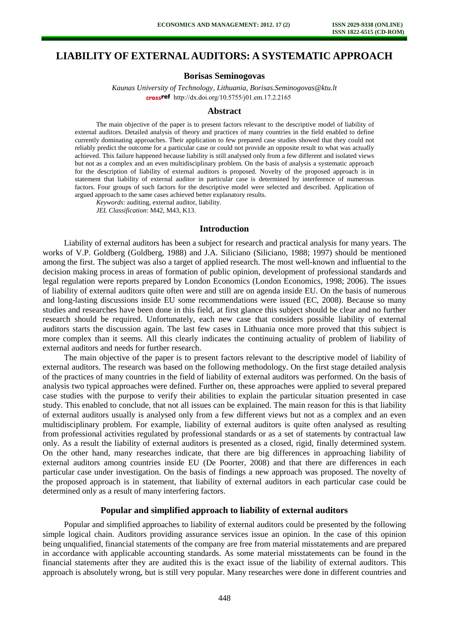# **LIABILITY OF EXTERNAL AUDITORS: A SYSTEMATIC APPROACH**

### **Borisas Seminogovas**

*Kaunas University of Technology, Lithuania, Borisas.Seminogovas@ktu.lt*  cross<sup>ref</sup> [http://dx.doi.org/10.5755/j01.e](http://dx.doi.org/10.5755/j01.em.17.2.2165)m.17.2.2165

#### **Abstract**

The main objective of the paper is to present factors relevant to the descriptive model of liability of external auditors. Detailed analysis of theory and practices of many countries in the field enabled to define currently dominating approaches. Their application to few prepared case studies showed that they could not reliably predict the outcome for a particular case or could not provide an opposite result to what was actually achieved. This failure happened because liability is still analysed only from a few different and isolated views but not as a complex and an even multidisciplinary problem. On the basis of analysis a systematic approach for the description of liability of external auditors is proposed. Novelty of the proposed approach is in statement that liability of external auditor in particular case is determined by interference of numerous factors. Four groups of such factors for the descriptive model were selected and described. Application of argued approach to the same cases achieved better explanatory results.

*Keywords*: auditing, external auditor, liability.

*JEL Classification*: M42, M43, K13.

### **Introduction**

Liability of external auditors has been a subject for research and practical analysis for many years. The works of V.P. Goldberg (Goldberg, 1988) and J.A. Siliciano (Siliciano, 1988; 1997) should be mentioned among the first. The subject was also a target of applied research. The most well-known and influential to the decision making process in areas of formation of public opinion, development of professional standards and legal regulation were reports prepared by London Economics (London Economics, 1998; 2006). The issues of liability of external auditors quite often were and still are on agenda inside EU. On the basis of numerous and long-lasting discussions inside EU some recommendations were issued (EC, 2008). Because so many studies and researches have been done in this field, at first glance this subject should be clear and no further research should be required. Unfortunately, each new case that considers possible liability of external auditors starts the discussion again. The last few cases in Lithuania once more proved that this subject is more complex than it seems. All this clearly indicates the continuing actuality of problem of liability of external auditors and needs for further research.

The main objective of the paper is to present factors relevant to the descriptive model of liability of external auditors. The research was based on the following methodology. On the first stage detailed analysis of the practices of many countries in the field of liability of external auditors was performed. On the basis of analysis two typical approaches were defined. Further on, these approaches were applied to several prepared case studies with the purpose to verify their abilities to explain the particular situation presented in case study. This enabled to conclude, that not all issues can be explained. The main reason for this is that liability of external auditors usually is analysed only from a few different views but not as a complex and an even multidisciplinary problem. For example, liability of external auditors is quite often analysed as resulting from professional activities regulated by professional standards or as a set of statements by contractual law only. As a result the liability of external auditors is presented as a closed, rigid, finally determined system. On the other hand, many researches indicate, that there are big differences in approaching liability of external auditors among countries inside EU (De Poorter, 2008) and that there are differences in each particular case under investigation. On the basis of findings a new approach was proposed. The novelty of the proposed approach is in statement, that liability of external auditors in each particular case could be determined only as a result of many interfering factors.

### **Popular and simplified approach to liability of external auditors**

Popular and simplified approaches to liability of external auditors could be presented by the following simple logical chain. Auditors providing assurance services issue an opinion. In the case of this opinion being unqualified, financial statements of the company are free from material misstatements and are prepared in accordance with applicable accounting standards. As some material misstatements can be found in the financial statements after they are audited this is the exact issue of the liability of external auditors. This approach is absolutely wrong, but is still very popular. Many researches were done in different countries and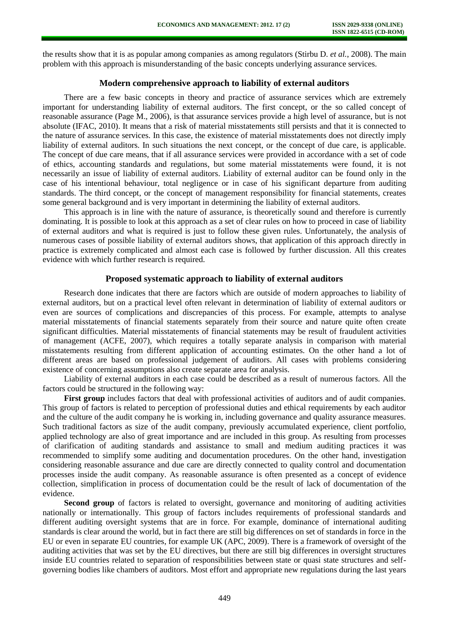the results show that it is as popular among companies as among regulators (Stirbu D. *et al.*, 2008). The main problem with this approach is misunderstanding of the basic concepts underlying assurance services.

# **Modern comprehensive approach to liability of external auditors**

There are a few basic concepts in theory and practice of assurance services which are extremely important for understanding liability of external auditors. The first concept, or the so called concept of reasonable assurance (Page M., 2006), is that assurance services provide a high level of assurance, but is not absolute (IFAC, 2010). It means that a risk of material misstatements still persists and that it is connected to the nature of assurance services. In this case, the existence of material misstatements does not directly imply liability of external auditors. In such situations the next concept, or the concept of due care, is applicable. The concept of due care means, that if all assurance services were provided in accordance with a set of code of ethics, accounting standards and regulations, but some material misstatements were found, it is not necessarily an issue of liability of external auditors. Liability of external auditor can be found only in the case of his intentional behaviour, total negligence or in case of his significant departure from auditing standards. The third concept, or the concept of management responsibility for financial statements, creates some general background and is very important in determining the liability of external auditors.

This approach is in line with the nature of assurance, is theoretically sound and therefore is currently dominating. It is possible to look at this approach as a set of clear rules on how to proceed in case of liability of external auditors and what is required is just to follow these given rules. Unfortunately, the analysis of numerous cases of possible liability of external auditors shows, that application of this approach directly in practice is extremely complicated and almost each case is followed by further discussion. All this creates evidence with which further research is required.

### **Proposed systematic approach to liability of external auditors**

Research done indicates that there are factors which are outside of modern approaches to liability of external auditors, but on a practical level often relevant in determination of liability of external auditors or even are sources of complications and discrepancies of this process. For example, attempts to analyse material misstatements of financial statements separately from their source and nature quite often create significant difficulties. Material misstatements of financial statements may be result of fraudulent activities of management (ACFE, 2007), which requires a totally separate analysis in comparison with material misstatements resulting from different application of accounting estimates. On the other hand a lot of different areas are based on professional judgement of auditors. All cases with problems considering existence of concerning assumptions also create separate area for analysis.

Liability of external auditors in each case could be described as a result of numerous factors. All the factors could be structured in the following way:

**First group** includes factors that deal with professional activities of auditors and of audit companies. This group of factors is related to perception of professional duties and ethical requirements by each auditor and the culture of the audit company he is working in, including governance and quality assurance measures. Such traditional factors as size of the audit company, previously accumulated experience, client portfolio, applied technology are also of great importance and are included in this group. As resulting from processes of clarification of auditing standards and assistance to small and medium auditing practices it was recommended to simplify some auditing and documentation procedures. On the other hand, investigation considering reasonable assurance and due care are directly connected to quality control and documentation processes inside the audit company. As reasonable assurance is often presented as a concept of evidence collection, simplification in process of documentation could be the result of lack of documentation of the evidence.

**Second group** of factors is related to oversight, governance and monitoring of auditing activities nationally or internationally. This group of factors includes requirements of professional standards and different auditing oversight systems that are in force. For example, dominance of international auditing standards is clear around the world, but in fact there are still big differences on set of standards in force in the EU or even in separate EU countries, for example UK (APC, 2009). There is a framework of oversight of the auditing activities that was set by the EU directives, but there are still big differences in oversight structures inside EU countries related to separation of responsibilities between state or quasi state structures and selfgoverning bodies like chambers of auditors. Most effort and appropriate new regulations during the last years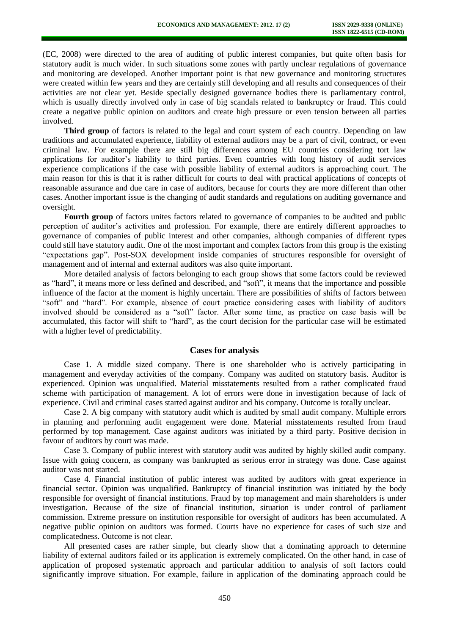(EC, 2008) were directed to the area of auditing of public interest companies, but quite often basis for statutory audit is much wider. In such situations some zones with partly unclear regulations of governance and monitoring are developed. Another important point is that new governance and monitoring structures were created within few years and they are certainly still developing and all results and consequences of their activities are not clear yet. Beside specially designed governance bodies there is parliamentary control, which is usually directly involved only in case of big scandals related to bankruptcy or fraud. This could create a negative public opinion on auditors and create high pressure or even tension between all parties involved.

**Third group** of factors is related to the legal and court system of each country. Depending on law traditions and accumulated experience, liability of external auditors may be a part of civil, contract, or even criminal law. For example there are still big differences among EU countries considering tort law applications for auditor's liability to third parties. Even countries with long history of audit services experience complications if the case with possible liability of external auditors is approaching court. The main reason for this is that it is rather difficult for courts to deal with practical applications of concepts of reasonable assurance and due care in case of auditors, because for courts they are more different than other cases. Another important issue is the changing of audit standards and regulations on auditing governance and oversight.

**Fourth group** of factors unites factors related to governance of companies to be audited and public perception of auditor's activities and profession. For example, there are entirely different approaches to governance of companies of public interest and other companies, although companies of different types could still have statutory audit. One of the most important and complex factors from this group is the existing "expectations gap". Post-SOX development inside companies of structures responsible for oversight of management and of internal and external auditors was also quite important.

More detailed analysis of factors belonging to each group shows that some factors could be reviewed as "hard", it means more or less defined and described, and "soft", it means that the importance and possible influence of the factor at the moment is highly uncertain. There are possibilities of shifts of factors between "soft" and "hard". For example, absence of court practice considering cases with liability of auditors involved should be considered as a "soft" factor. After some time, as practice on case basis will be accumulated, this factor will shift to "hard", as the court decision for the particular case will be estimated with a higher level of predictability.

# **Cases for analysis**

Case 1. A middle sized company. There is one shareholder who is actively participating in management and everyday activities of the company. Company was audited on statutory basis. Auditor is experienced. Opinion was unqualified. Material misstatements resulted from a rather complicated fraud scheme with participation of management. A lot of errors were done in investigation because of lack of experience. Civil and criminal cases started against auditor and his company. Outcome is totally unclear.

Case 2. A big company with statutory audit which is audited by small audit company. Multiple errors in planning and performing audit engagement were done. Material misstatements resulted from fraud performed by top management. Case against auditors was initiated by a third party. Positive decision in favour of auditors by court was made.

Case 3. Company of public interest with statutory audit was audited by highly skilled audit company. Issue with going concern, as company was bankrupted as serious error in strategy was done. Case against auditor was not started.

Case 4. Financial institution of public interest was audited by auditors with great experience in financial sector. Opinion was unqualified. Bankruptcy of financial institution was initiated by the body responsible for oversight of financial institutions. Fraud by top management and main shareholders is under investigation. Because of the size of financial institution, situation is under control of parliament commission. Extreme pressure on institution responsible for oversight of auditors has been accumulated. A negative public opinion on auditors was formed. Courts have no experience for cases of such size and complicatedness. Outcome is not clear.

All presented cases are rather simple, but clearly show that a dominating approach to determine liability of external auditors failed or its application is extremely complicated. On the other hand, in case of application of proposed systematic approach and particular addition to analysis of soft factors could significantly improve situation. For example, failure in application of the dominating approach could be